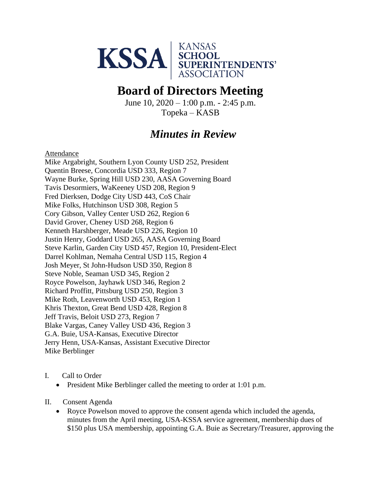

## **Board of Directors Meeting**

June  $10$ ,  $2020 - 1:00$  p.m.  $- 2:45$  p.m. Topeka – KASB

## *Minutes in Review*

Attendance

Mike Argabright, Southern Lyon County USD 252, President Quentin Breese, Concordia USD 333, Region 7 Wayne Burke, Spring Hill USD 230, AASA Governing Board Tavis Desormiers, WaKeeney USD 208, Region 9 Fred Dierksen, Dodge City USD 443, CoS Chair Mike Folks, Hutchinson USD 308, Region 5 Cory Gibson, Valley Center USD 262, Region 6 David Grover, Cheney USD 268, Region 6 Kenneth Harshberger, Meade USD 226, Region 10 Justin Henry, Goddard USD 265, AASA Governing Board Steve Karlin, Garden City USD 457, Region 10, President-Elect Darrel Kohlman, Nemaha Central USD 115, Region 4 Josh Meyer, St John-Hudson USD 350, Region 8 Steve Noble, Seaman USD 345, Region 2 Royce Powelson, Jayhawk USD 346, Region 2 Richard Proffitt, Pittsburg USD 250, Region 3 Mike Roth, Leavenworth USD 453, Region 1 Khris Thexton, Great Bend USD 428, Region 8 Jeff Travis, Beloit USD 273, Region 7 Blake Vargas, Caney Valley USD 436, Region 3 G.A. Buie, USA-Kansas, Executive Director Jerry Henn, USA-Kansas, Assistant Executive Director Mike Berblinger

- I. Call to Order
	- President Mike Berblinger called the meeting to order at 1:01 p.m.
- II. Consent Agenda
	- Royce Powelson moved to approve the consent agenda which included the agenda, minutes from the April meeting, USA-KSSA service agreement, membership dues of \$150 plus USA membership, appointing G.A. Buie as Secretary/Treasurer, approving the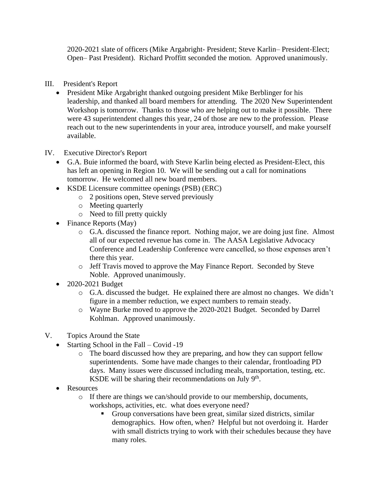2020-2021 slate of officers (Mike Argabright- President; Steve Karlin– President-Elect; Open– Past President). Richard Proffitt seconded the motion. Approved unanimously.

- III. President's Report
	- President Mike Argabright thanked outgoing president Mike Berblinger for his leadership, and thanked all board members for attending. The 2020 New Superintendent Workshop is tomorrow. Thanks to those who are helping out to make it possible. There were 43 superintendent changes this year, 24 of those are new to the profession. Please reach out to the new superintendents in your area, introduce yourself, and make yourself available.
- IV. Executive Director's Report
	- G.A. Buie informed the board, with Steve Karlin being elected as President-Elect, this has left an opening in Region 10. We will be sending out a call for nominations tomorrow. He welcomed all new board members.
	- KSDE Licensure committee openings (PSB) (ERC)
		- o 2 positions open, Steve served previously
		- o Meeting quarterly
		- o Need to fill pretty quickly
	- Finance Reports (May)
		- o G.A. discussed the finance report. Nothing major, we are doing just fine. Almost all of our expected revenue has come in. The AASA Legislative Advocacy Conference and Leadership Conference were cancelled, so those expenses aren't there this year.
		- o Jeff Travis moved to approve the May Finance Report. Seconded by Steve Noble. Approved unanimously.
	- 2020-2021 Budget
		- o G.A. discussed the budget. He explained there are almost no changes. We didn't figure in a member reduction, we expect numbers to remain steady.
		- o Wayne Burke moved to approve the 2020-2021 Budget. Seconded by Darrel Kohlman. Approved unanimously.
- V. Topics Around the State
	- Starting School in the Fall Covid -19
		- o The board discussed how they are preparing, and how they can support fellow superintendents. Some have made changes to their calendar, frontloading PD days. Many issues were discussed including meals, transportation, testing, etc. KSDE will be sharing their recommendations on July  $9<sup>th</sup>$ .
	- Resources
		- o If there are things we can/should provide to our membership, documents, workshops, activities, etc. what does everyone need?
			- Group conversations have been great, similar sized districts, similar demographics. How often, when? Helpful but not overdoing it. Harder with small districts trying to work with their schedules because they have many roles.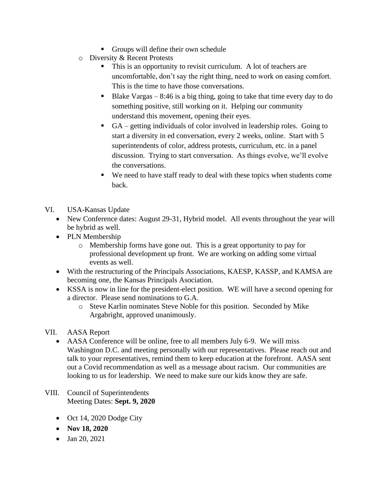- Groups will define their own schedule
- o Diversity & Recent Protests
	- This is an opportunity to revisit curriculum. A lot of teachers are uncomfortable, don't say the right thing, need to work on easing comfort. This is the time to have those conversations.
	- $\blacksquare$  Blake Vargas 8:46 is a big thing, going to take that time every day to do something positive, still working on it. Helping our community understand this movement, opening their eyes.
	- $GA$  getting individuals of color involved in leadership roles. Going to start a diversity in ed conversation, every 2 weeks, online. Start with 5 superintendents of color, address protests, curriculum, etc. in a panel discussion. Trying to start conversation. As things evolve, we'll evolve the conversations.
	- We need to have staff ready to deal with these topics when students come back.
- VI. USA-Kansas Update
	- New Conference dates: August 29-31, Hybrid model. All events throughout the year will be hybrid as well.
	- PLN Membership
		- o Membership forms have gone out. This is a great opportunity to pay for professional development up front. We are working on adding some virtual events as well.
	- With the restructuring of the Principals Associations, KAESP, KASSP, and KAMSA are becoming one, the Kansas Principals Asociation.
	- KSSA is now in line for the president-elect position. WE will have a second opening for a director. Please send nominations to G.A.
		- o Steve Karlin nominates Steve Noble for this position. Seconded by Mike Argabright, approved unanimously.

## VII. AASA Report

- AASA Conference will be online, free to all members July 6-9. We will miss Washington D.C. and meeting personally with our representatives. Please reach out and talk to your representatives, remind them to keep education at the forefront. AASA sent out a Covid recommendation as well as a message about racism. Our communities are looking to us for leadership. We need to make sure our kids know they are safe.
- VIII. Council of Superintendents Meeting Dates: **Sept. 9, 2020** 
	- Oct 14, 2020 Dodge City
	- **Nov 18, 2020**
	- Jan 20, 2021